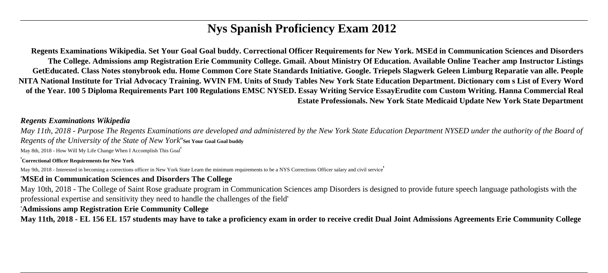# **Nys Spanish Proficiency Exam 2012**

**Regents Examinations Wikipedia. Set Your Goal Goal buddy. Correctional Officer Requirements for New York. MSEd in Communication Sciences and Disorders The College. Admissions amp Registration Erie Community College. Gmail. About Ministry Of Education. Available Online Teacher amp Instructor Listings GetEducated. Class Notes stonybrook edu. Home Common Core State Standards Initiative. Google. Triepels Slagwerk Geleen Limburg Reparatie van alle. People NITA National Institute for Trial Advocacy Training. WVIN FM. Units of Study Tables New York State Education Department. Dictionary com s List of Every Word of the Year. 100 5 Diploma Requirements Part 100 Regulations EMSC NYSED. Essay Writing Service EssayErudite com Custom Writing. Hanna Commercial Real Estate Professionals. New York State Medicaid Update New York State Department**

#### *Regents Examinations Wikipedia*

*May 11th, 2018 - Purpose The Regents Examinations are developed and administered by the New York State Education Department NYSED under the authority of the Board of Regents of the University of the State of New York*''**Set Your Goal Goal buddy**

May 8th, 2018 - How Will My Life Change When I Accomplish This Goal'

#### '**Correctional Officer Requirements for New York**

May 9th, 2018 - Interested in becoming a corrections officer in New York State Learn the minimum requirements to be a NYS Corrections Officer salary and civil service

#### '**MSEd in Communication Sciences and Disorders The College**

May 10th, 2018 - The College of Saint Rose graduate program in Communication Sciences amp Disorders is designed to provide future speech language pathologists with the professional expertise and sensitivity they need to handle the challenges of the field'

#### '**Admissions amp Registration Erie Community College**

**May 11th, 2018 - EL 156 EL 157 students may have to take a proficiency exam in order to receive credit Dual Joint Admissions Agreements Erie Community College**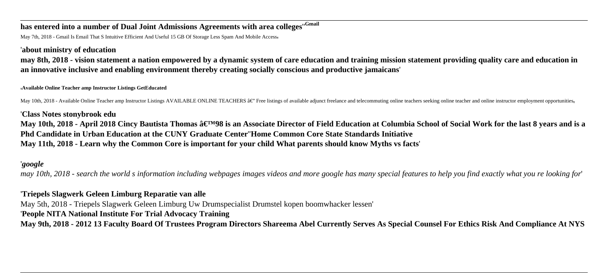# **has entered into a number of Dual Joint Admissions Agreements with area colleges**''**Gmail**

May 7th, 2018 - Gmail Is Email That S Intuitive Efficient And Useful 15 GB Of Storage Less Spam And Mobile Access,

### '**about ministry of education**

**may 8th, 2018 - vision statement a nation empowered by a dynamic system of care education and training mission statement providing quality care and education in an innovative inclusive and enabling environment thereby creating socially conscious and productive jamaicans**'

#### '**Available Online Teacher amp Instructor Listings GetEducated**

May 10th, 2018 - Available Online Teacher amp Instructor Listings AVAILABLE ONLINE TEACHERS â€" Free listings of available adjunct freelance and telecommuting online teachers seeking online teacher and online instructor em

'**Class Notes stonybrook edu** May 10th, 2018 - April 2018 Cincy Bautista Thomas â€<sup>™98</sup> is an Associate Director of Field Education at Columbia School of Social Work for the last 8 years and is a **Phd Candidate in Urban Education at the CUNY Graduate Center**''**Home Common Core State Standards Initiative May 11th, 2018 - Learn why the Common Core is important for your child What parents should know Myths vs facts**'

### '*google*

*may 10th, 2018 - search the world s information including webpages images videos and more google has many special features to help you find exactly what you re looking for*'

## '**Triepels Slagwerk Geleen Limburg Reparatie van alle**

May 5th, 2018 - Triepels Slagwerk Geleen Limburg Uw Drumspecialist Drumstel kopen boomwhacker lessen'

## '**People NITA National Institute For Trial Advocacy Training**

**May 9th, 2018 - 2012 13 Faculty Board Of Trustees Program Directors Shareema Abel Currently Serves As Special Counsel For Ethics Risk And Compliance At NYS**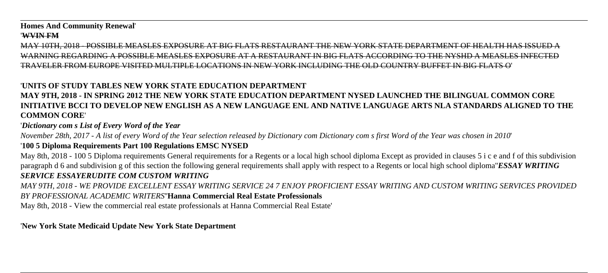#### **Homes And Community Renewal**'

#### '**WVIN FM**

MAY 10TH, 2018 - POSSIBLE MEASLES EXPOSURE AT BIG ELATS RESTAURANT THE NEW YORK STATE DEPARTMENT OF HEALTH HAS ISSUED A WARNING REGARDING A POSSIBLE MEASLES EXPOSURE AT A RESTAURANT IN BIG FLATS ACCORDING TO THE NYSHD A MEASLES INFEC TRAVELER FROM EUROPE VISITED MULTIPLE LOCATIONS IN NEW YORK INCLUDING THE OLD COUNTRY BUFFET IN BIG FLATS O'

## '**UNITS OF STUDY TABLES NEW YORK STATE EDUCATION DEPARTMENT**

## **MAY 9TH, 2018 - IN SPRING 2012 THE NEW YORK STATE EDUCATION DEPARTMENT NYSED LAUNCHED THE BILINGUAL COMMON CORE INITIATIVE BCCI TO DEVELOP NEW ENGLISH AS A NEW LANGUAGE ENL AND NATIVE LANGUAGE ARTS NLA STANDARDS ALIGNED TO THE COMMON CORE**'

## '*Dictionary com s List of Every Word of the Year*

*November 28th, 2017 - A list of every Word of the Year selection released by Dictionary com Dictionary com s first Word of the Year was chosen in 2010*'

## '**100 5 Diploma Requirements Part 100 Regulations EMSC NYSED**

May 8th, 2018 - 100 5 Diploma requirements General requirements for a Regents or a local high school diploma Except as provided in clauses 5 i c e and f of this subdivision paragraph d 6 and subdivision g of this section the following general requirements shall apply with respect to a Regents or local high school diploma''*ESSAY WRITING SERVICE ESSAYERUDITE COM CUSTOM WRITING*

*MAY 9TH, 2018 - WE PROVIDE EXCELLENT ESSAY WRITING SERVICE 24 7 ENJOY PROFICIENT ESSAY WRITING AND CUSTOM WRITING SERVICES PROVIDED BY PROFESSIONAL ACADEMIC WRITERS*''**Hanna Commercial Real Estate Professionals**

May 8th, 2018 - View the commercial real estate professionals at Hanna Commercial Real Estate'

## '**New York State Medicaid Update New York State Department**